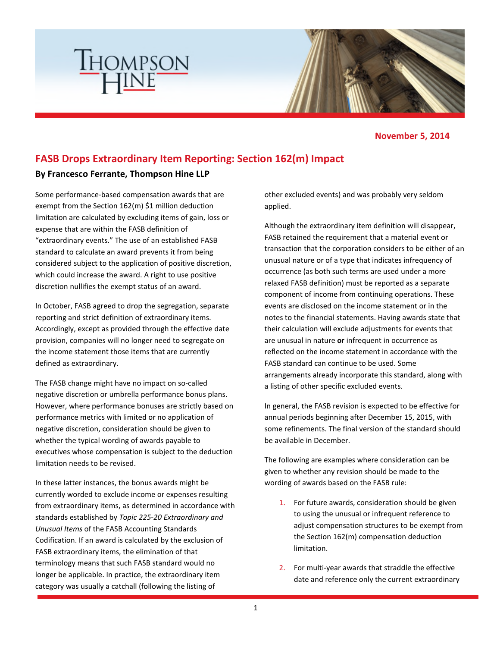

## **November 5, 2014**

## **FASB Drops Extraordinary Item Reporting: Section 162(m) Impact**

## **By Francesco Ferrante, Thompson Hine LLP**

**THOMPSON** 

Some performance-based compensation awards that are exempt from the Section 162(m) \$1 million deduction limitation are calculated by excluding items of gain, loss or expense that are within the FASB definition of "extraordinary events." The use of an established FASB standard to calculate an award prevents it from being considered subject to the application of positive discretion, which could increase the award. A right to use positive discretion nullifies the exempt status of an award.

In October, FASB agreed to drop the segregation, separate reporting and strict definition of extraordinary items. Accordingly, except as provided through the effective date provision, companies will no longer need to segregate on the income statement those items that are currently defined as extraordinary.

The FASB change might have no impact on so-called negative discretion or umbrella performance bonus plans. However, where performance bonuses are strictly based on performance metrics with limited or no application of negative discretion, consideration should be given to whether the typical wording of awards payable to executives whose compensation is subject to the deduction limitation needs to be revised.

In these latter instances, the bonus awards might be currently worded to exclude income or expenses resulting from extraordinary items, as determined in accordance with standards established by *Topic 225-20 Extraordinary and Unusual Items* of the FASB Accounting Standards Codification. If an award is calculated by the exclusion of FASB extraordinary items, the elimination of that terminology means that such FASB standard would no longer be applicable. In practice, the extraordinary item category was usually a catchall (following the listing of

other excluded events) and was probably very seldom applied.

Although the extraordinary item definition will disappear, FASB retained the requirement that a material event or transaction that the corporation considers to be either of an unusual nature or of a type that indicates infrequency of occurrence (as both such terms are used under a more relaxed FASB definition) must be reported as a separate component of income from continuing operations. These events are disclosed on the income statement or in the notes to the financial statements. Having awards state that their calculation will exclude adjustments for events that are unusual in nature **or** infrequent in occurrence as reflected on the income statement in accordance with the FASB standard can continue to be used. Some arrangements already incorporate this standard, along with a listing of other specific excluded events.

In general, the FASB revision is expected to be effective for annual periods beginning after December 15, 2015, with some refinements. The final version of the standard should be available in December.

The following are examples where consideration can be given to whether any revision should be made to the wording of awards based on the FASB rule:

- 1. For future awards, consideration should be given to using the unusual or infrequent reference to adjust compensation structures to be exempt from the Section 162(m) compensation deduction limitation.
- 2. For multi-year awards that straddle the effective date and reference only the current extraordinary